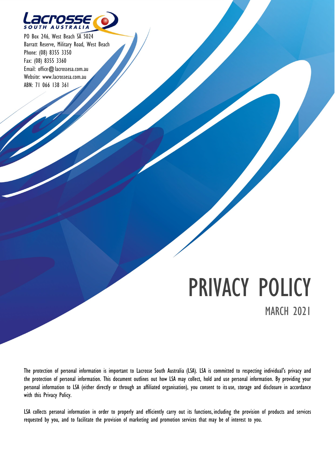

PO Box 246, West Beach SA 5024 Barratt Reserve, Military Road, West Beach Phone: (08) 8355 3350 Fax: (08) 8355 3360 Email: [office@lacrossesa.com.au](mailto:office@alcrossesa.com.au) Website: [www.lacrossesa.com.au](http://www.lacrossesa.com.au/) ABN: 71 066 138 361

# PRIVACY POLICY MARCH 2021

The protection of personal information is important to Lacrosse South Australia (LSA). LSA is committed to respecting individual's privacy and the protection of personal information. This document outlines out how LSA may collect, hold and use personal information. By providing your personal information to LSA (either directly or through an affiliated organisation), you consent to itsuse, storage and disclosure in accordance with this Privacy Policy.

LSA collects personal information in order to properly and efficiently carry out its functions, including the provision of products and services requested by you, and to facilitate the provision of marketing and promotion services that may be of interest to you.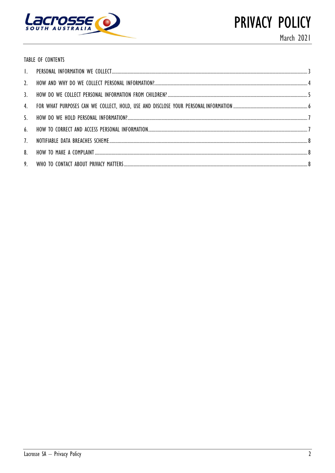

PRIVACY POLICY March 2021

TABLE OF CONTENTS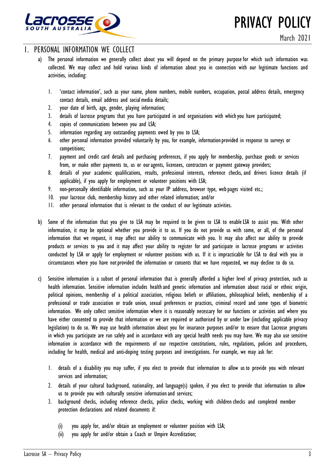

PRIVACY POLICY

# 1. PERSONAL INFORMATION WE COLLECT

- a) The personal information we generally collect about you will depend on the primary purpose for which such information was collected. We may collect and hold various kinds of information about you in connection with our legitimate functions and activities, including:
	- 1. 'contact information', such as your name, phone numbers, mobile numbers, occupation, postal address details, emergency contact details, email address and social media details;
	- 2. your date of birth, age, gender, playing information;
	- 3. details of lacrosse programs that you have participated in and organisations with whichyou have participated;
	- 4. copies of communications between you and LSA;
	- 5. information regarding any outstanding payments owed by you to LSA;
	- 6. other personal information provided voluntarily by you, for example, informationprovided in response to surveys or competitions;
	- 7. payment and credit card details and purchasing preferences, if you apply for membership, purchase goods or services from, or make other payments to, us or ouragents, licensees, contractors or payment gateway providers;
	- 8. details of your academic qualifications, results, professional interests, reference checks, and drivers licence details (if applicable), if you apply for employment or volunteer positions with LSA;
	- 9. non-personally identifiable information, such as your IP address, browser type, web pages visited etc.;
	- 10. your lacrosse club, membership history and other related information; and/or
	- 11. other personal information that is relevant to the conduct of our legitimate activities.
- b) Some of the information that you give to LSA may be required to be given to LSA to enable LSA to assist you. With other information, it may be optional whether you provide it to us. If you do not provide us with some, or all, of the personal information that we request, it may affect our ability to communicate with you. It may also affect our ability to provide products or services to you and it may affect your ability to register for and participate in lacrosse programs or activities conducted by LSA or apply for employment or volunteer positions with us. If it is impracticable for LSA to deal with you in circumstances where you have notprovided the information or consents that we have requested, we may decline to do so.
- c) Sensitive information is a subset of personal information that is generally afforded a higher level of privacy protection, such as health information. Sensitive information includes healthand genetic information and information about racial or ethnic origin, political opinions, membership of a political association, religious beliefs or affiliations, philosophical beliefs, membership of a professional or trade association or trade union, sexual preferences or practices, criminal record and some types of biometric information. We only collect sensitive information where it is reasonably necessary for our functions or activities and where you have either consented to provide that information or we are required or authorised by or under law (including applicable privacy legislation) to do so. We may use health information about you for insurance purposes and/or to ensure that Lacrosse programs in which you participate are run safely and in accordance with any special health needs you may have. We may also use sensitive information in accordance with the requirements of our respective constitutions, rules, regulations, policies and procedures, including for health, medical and anti-doping testing purposes and investigations. For example, we may ask for:
	- 1. details of a disability you may suffer, if you elect to provide that information to allow us to provide you with relevant services and information;
	- 2. details of your cultural background, nationality, and language(s) spoken, if you elect to provide that information to allow us to provide you with culturally sensitive informationand services;
	- 3. background checks, including reference checks, police checks, working with childrenchecks and completed member protection declarations and related documents if:
		- (i) you apply for, and/or obtain an employment or volunteer position with LSA;
		- (ii) you apply for and/or obtain a Coach or Umpire Accreditation;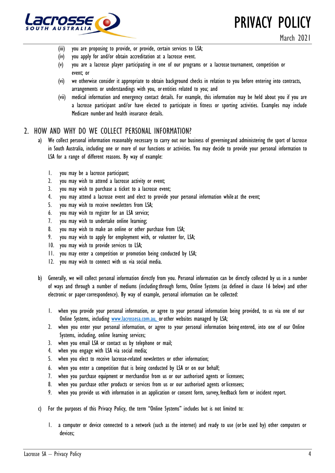

PRIVACY POLICY

- (iii) you are proposing to provide, or provide, certain services to LSA;
- (iv) you apply for and/or obtain accreditation at a lacrosse event.
- (v) you are a lacrosse player participating in one of our programs or a lacrosse tournament, competition or event; or
- (vi) we otherwise consider it appropriate to obtain background checks in relation to you before entering into contracts, arrangements or understandings with you, orentities related to you; and
- (vii) medical information and emergency contact details. For example, this information may be held about you if you are a lacrosse participant and/or have elected to participate in fitness or sporting activities. Examples may include Medicare numberand health insurance details.

## 2. HOW AND WHY DO WE COLLECT PERSONAL INFORMATION?

- a) We collect personal information reasonably necessary to carry out our business of governingand administering the sport of lacrosse in South Australia, including one or more of our functions or activities. You may decide to provide your personal information to LSA for a range of different reasons. By way of example:
	- 1. you may be a lacrosse participant;
	- 2. you may wish to attend a lacrosse activity or event;
	- 3. you may wish to purchase a ticket to a lacrosse event;
	- 4. you may attend a lacrosse event and elect to provide your personal information whileat the event;
	- 5. you may wish to receive newsletters from LSA;
	- 6. you may wish to register for an LSA service;
	- 7. you may wish to undertake online learning;
	- 8. you may wish to make an online or other purchase from LSA;
	- 9. you may wish to apply for employment with, or volunteer for, LSA;
	- 10. you may wish to provide services to LSA;
	- 11. you may enter a competition or promotion being conducted by LSA;
	- 12. you may wish to connect with us via social media.
- b) Generally, we will collect personal information directly from you. Personal information can be directly collected by us in a number of ways and through a number of mediums (includingthrough forms, Online Systems (as defined in clause 16 below) and other electronic or paper correspondence). By way of example, personal information can be collected:
	- 1. when you provide your personal information, or agree to your personal information being provided, to us via one of our Online Systems, including [www.lacrossesa.com.au, o](http://www.lacrossesa.com.au,/)r other websites managed by LSA;
	- 2. when you enter your personal information, or agree to your personal information beingentered, into one of our Online Systems, including, online learning services;
	- 3. when you email LSA or contact us by telephone or mail;
	- 4. when you engage with LSA via social media;
	- 5. when you elect to receive lacrosse-related newsletters or other information;
	- 6. when you enter a competition that is being conducted by LSA or on our behalf;
	- 7. when you purchase equipment or merchandise from us or our authorised agents or licensees;
	- 8. when you purchase other products or services from us or our authorised agents or licensees;
	- 9. when you provide us with information in an application or consent form, survey, feedback form or incident report.
- c) For the purposes of this Privacy Policy, the term "Online Systems" includes but is not limited to:
	- 1. a computer or device connected to a network (such as the internet) and ready to use (orbe used by) other computers or devices;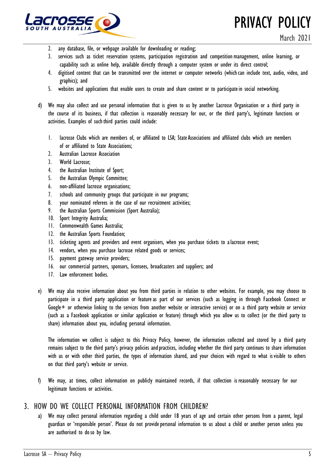

PRIVACY POLICY

- 2. any database, file, or webpage available for downloading or reading;
- 3. services such as ticket reservation systems, participation registration and competition management, online learning, or capability such as online help, available directly through a computer system or under its direct control;
- 4. digitised content that can be transmitted over the internet or computer networks (whichcan include text, audio, video, and graphics); and
- 5. websites and applications that enable users to create and share content or to participatein social networking.
- d) We may also collect and use personal information that is given to us by another Lacrosse Organisation or a third party in the course of its business, if that collection is reasonably necessary for our, or the third party's, legitimate functions or activities. Examples of such third parties could include:
	- 1. lacrosse Clubs which are members of, or affiliated to LSA; StateAssociations and affiliated clubs which are members of or affiliated to State Associations;
	- 2. Australian Lacrosse Association
	- 3. World Lacrosse;
	- 4. the Australian Institute of Sport;
	- 5. the Australian Olympic Committee;
	- 6. non-affiliated lacrosse organisations;
	- 7. schools and community groups that participate in our programs;
	- 8. your nominated referees in the case of our recruitment activities;
	- 9. the Australian Sports Commission (Sport Australia);
	- 10. Sport Integrity Australia;
	- 11. Commonwealth Games Australia;
	- 12. the Australian Sports Foundation;
	- 13. ticketing agents and providers and event organisers, when you purchase tickets to alacrosse event;
	- 14. vendors, when you purchase lacrosse related goods or services;
	- 15. payment gateway service providers;
	- 16. our commercial partners, sponsors, licensees, broadcasters and suppliers; and
	- 17. Law enforcement bodies.
- e) We may also receive information about you from third parties in relation to other websites. For example, you may choose to participate in a third party application or feature as part of our services (such as logging in through Facebook Connect or Google+ or otherwise linking to the services from another website or interactive service) or on a third party website or service (such as a Facebook application or similar application or feature) through which you allow us to collect (or the third party to share) information about you, including personal information.

The information we collect is subject to this Privacy Policy, however, the information collected and stored by a third party remains subject to the third party's privacy policies andpractices, including whether the third party continues to share information with us or with other third parties, the types of information shared, and your choices with regard to what isvisible to others on that third party's website or service.

f) We may, at times, collect information on publicly maintained records, if that collection is reasonably necessary for our legitimate functions or activities.

#### 3. HOW DO WE COLLECT PERSONAL INFORMATION FROM CHILDREN?

a) We may collect personal information regarding a child under 18 years of age and certain other persons from a parent, legal guardian or 'responsible person'. Please do not provide personal information to us about a child or another person unless you are authorised to doso by law.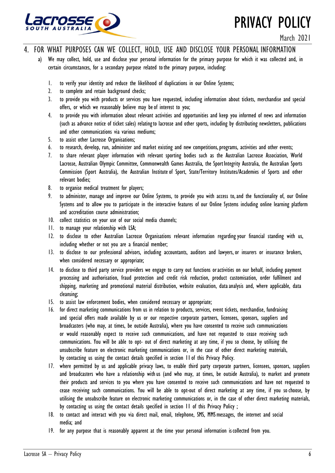

March 2021

- 4. FOR WHAT PURPOSES CAN WE COLLECT, HOLD, USE AND DISCLOSE YOUR PERSONAL INFORMATION
	- a) We may collect, hold, use and disclose your personal information for the primary purpose for which it was collected and, in certain circumstances, for a secondary purpose related tothe primary purpose, including:
		- 1. to verify your identity and reduce the likelihood of duplications in our Online Systems;
		- 2. to complete and retain background checks;
		- 3. to provide you with products or services you have requested, including information about tickets, merchandise and special offers, or which we reasonably believe may be of interest to you;
		- 4. to provide you with information about relevant activities and opportunities and keep you informed of news and information (such as advance notice of ticket sales) relatingto lacrosse and other sports, including by distributing newsletters, publications and other communications via various mediums;
		- 5. to assist other Lacrosse Organisations;
		- 6. to research, develop, run, administer and market existing and new competitions, programs, activities and other events;
		- 7. to share relevant player information with relevant sporting bodies such as the Australian Lacrosse Association, World Lacrosse, Australian Olympic Committee, Commonwealth Games Australia, the Sport Integrity Australia, the Australian Sports Commission (Sport Australia), the Australian Institute of Sport, State/Territory Institutes/Academies of Sports and other relevant bodies;
		- 8. to organise medical treatment for players;
		- 9. to administer, manage and improve our Online Systems, to provide you with access to,and the functionality of, our Online Systems and to allow you to participate in the interactive features of our Online Systems including online learning platform and accreditation course administration;
		- 10. collect statistics on your use of our social media channels;
		- 11. to manage your relationship with LSA;
		- 12. to disclose to other Australian Lacrosse Organisations relevant information regarding your financial standing with us, including whether or not you are a financial member;
		- 13. to disclose to our professional advisors, including accountants, auditors and lawyers, or insurers or insurance brokers, when considered necessary or appropriate;
		- 14. to disclose to third party service providers we engage to carry out functions oractivities on our behalf, including payment processing and authorisation, fraud protection and credit risk reduction, product customisation, order fulfilment and shipping, marketing and promotional material distribution, website evaluation, dataanalysis and, where applicable, data cleansing;
		- 15. to assist law enforcement bodies, when considered necessary or appropriate;
		- 16. for direct marketing communications from us in relation to products, services, event tickets, merchandise, fundraising and special offers made available by us or our respective corporate partners, licensees, sponsors, suppliers and broadcasters (who may, at times, be outside Australia), where you have consented to receive such communications or would reasonably expect to receive such communications, and have not requested to cease receiving such communications. You will be able to opt- out of direct marketing at any time, if you so choose, by utilising the unsubscribe feature on electronic marketing communications or, in the case of other direct marketing materials, by contacting us using the contact details specified in section 11of this Privacy Policy.
		- 17. where permitted by us and applicable privacy laws, to enable third party corporate partners, licensees, sponsors, suppliers and broadcasters who have a relationship withus (and who may, at times, be outside Australia), to market and promote their products and services to you where you have consented to receive such communications and have not requested to cease receiving such communications. You will be able to opt-out of direct marketing at any time, if you sochoose, by utilising the unsubscribe feature on electronic marketing communications or, in the case of other direct marketing materials, by contacting us using the contact details specified in section 11 of this Privacy Policy ;
		- 18. to contact and interact with you via direct mail, email, telephone, SMS, MMS messages, the internet and social media; and
		- 19. for any purpose that is reasonably apparent at the time your personal information iscollected from you.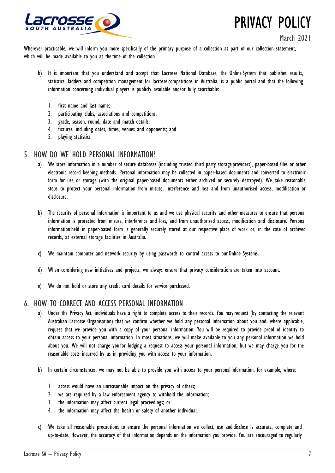

Wherever practicable, we will inform you more specifically of the primary purpose of a collection as part of our collection statement, which will be made available to you at the time of the collection.

- b) It is important that you understand and accept that Lacrosse National Database, the Online System that publishes results, statistics, ladders and competition management for lacrosse competitions in Australia, is a public portal and that the following information concerning individual players is publicly available and/or fully searchable:
	- 1. first name and last name;
	- 2. participating clubs, associations and competitions;
	- 3. grade, season, round, date and match details;
	- 4. fixtures, including dates, times, venues and opponents; and
	- 5. playing statistics.

#### 5. HOW DO WE HOLD PERSONAL INFORMATION?

- a) We store information in a number of secure databases (including trusted third party storage providers), paper-based files or other electronic record keeping methods. Personal information may be collected in paper-based documents and converted to electronic form for use or storage (with the original paper-based documents either archived or securely destroyed). We take reasonable steps to protect your personal information from misuse, interference and loss and from unauthorised access, modification or disclosure.
- b) The security of personal information is important to us and we use physical security and other measures to ensure that personal information is protected from misuse, interference and loss, and from unauthorised access, modification and disclosure. Personal information held in paper-based form is generally securely stored at our respective place of work or, in the case of archived records, at external storage facilities in Australia.
- c) We maintain computer and network security by using passwords to control access to our Online Systems.
- d) When considering new initiatives and projects, we always ensure that privacy considerationsare taken into account.
- e) We do not hold or store any credit card details for service purchased.

# 6. HOW TO CORRECT AND ACCESS PERSONAL INFORMATION

- a) Under the Privacy Act, individuals have a right to complete access to their records. You mayrequest (by contacting the relevant Australian Lacrosse Organisation) that we confirm whether we hold any personal information about you and, where applicable, request that we provide you with a copy of your personal information. You will be required to provide proof of identity to obtain access to your personal information. In most situations, we will make available to you any personal information we hold about you. We will not charge youfor lodging a request to access your personal information, but we may charge you for the reasonable costs incurred by us in providing you with access to your information.
- b) In certain circumstances, we may not be able to provide you with access to your personal information, for example, where:
	- 1. access would have an unreasonable impact on the privacy of others;
	- 2. we are required by a law enforcement agency to withhold the information;
	- 3. the information may affect current legal proceedings; or
	- 4. the information may affect the health or safety of another individual.
- c) We take all reasonable precautions to ensure the personal information we collect, use anddisclose is accurate, complete and up-to-date. However, the accuracy of that information depends on the information you provide. You are encouraged to regularly